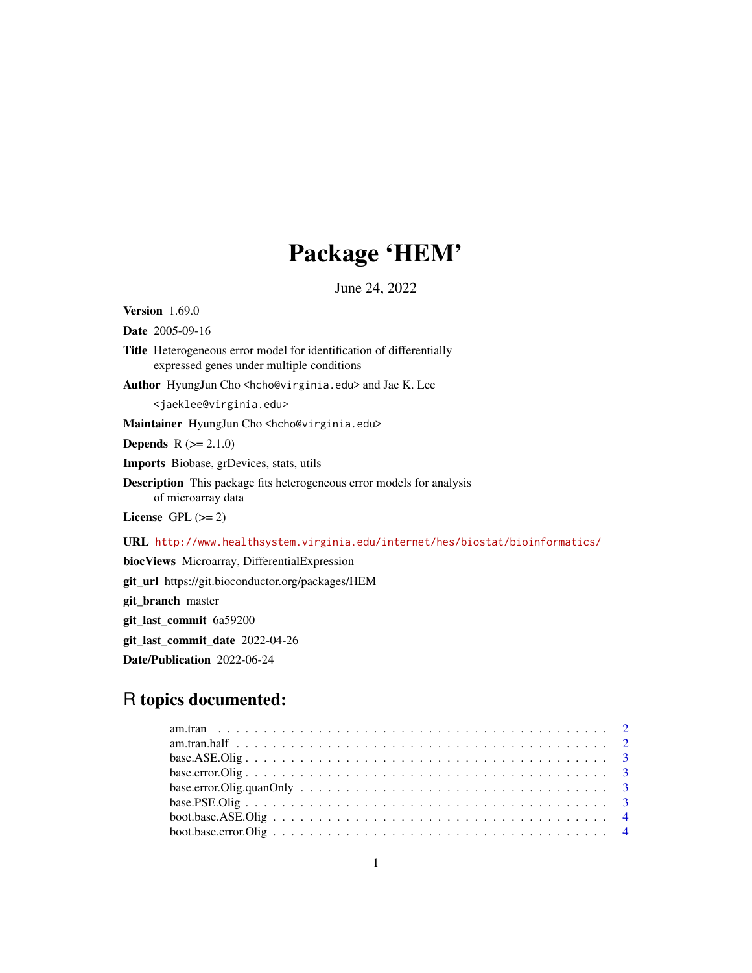## Package 'HEM'

June 24, 2022

Version 1.69.0

Date 2005-09-16

Title Heterogeneous error model for identification of differentially expressed genes under multiple conditions

Author HyungJun Cho <hcho@virginia.edu> and Jae K. Lee

<jaeklee@virginia.edu>

Maintainer HyungJun Cho<hcho@virginia.edu>

**Depends**  $R (= 2.1.0)$ 

Imports Biobase, grDevices, stats, utils

Description This package fits heterogeneous error models for analysis of microarray data

License GPL  $(>= 2)$ 

URL <http://www.healthsystem.virginia.edu/internet/hes/biostat/bioinformatics/>

biocViews Microarray, DifferentialExpression

git\_url https://git.bioconductor.org/packages/HEM

git\_branch master

git\_last\_commit 6a59200

git\_last\_commit\_date 2022-04-26

Date/Publication 2022-06-24

## R topics documented: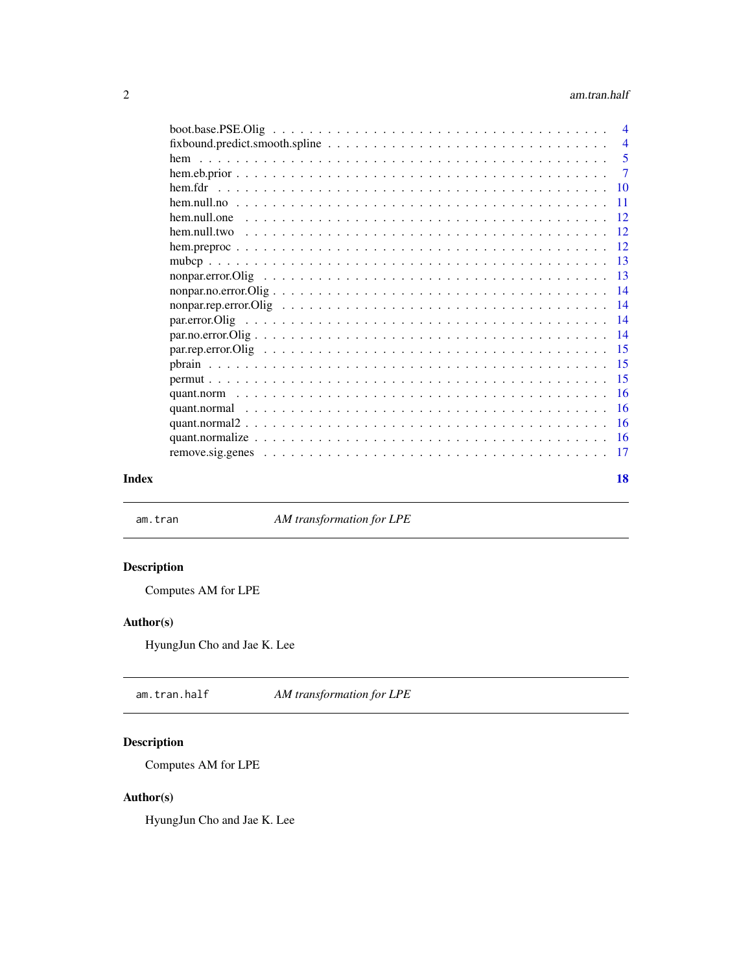#### <span id="page-1-0"></span>2 am.tran.half

| $\overline{4}$  |
|-----------------|
| $\overline{4}$  |
| 5               |
| $\overline{7}$  |
| <b>10</b>       |
| -11             |
| $-12$           |
| -12             |
|                 |
| -13             |
| $\overline{13}$ |
|                 |
| $\overline{14}$ |
|                 |
| $\overline{14}$ |
|                 |
|                 |
| $-15$           |
|                 |
| $-16$           |
| - 16            |
|                 |
| -17             |
|                 |

#### **Index** 2008 **[18](#page-17-0)**

am.tran *AM transformation for LPE*

## Description

Computes AM for LPE

#### Author(s)

HyungJun Cho and Jae K. Lee

am.tran.half *AM transformation for LPE*

## Description

Computes AM for LPE

#### Author(s)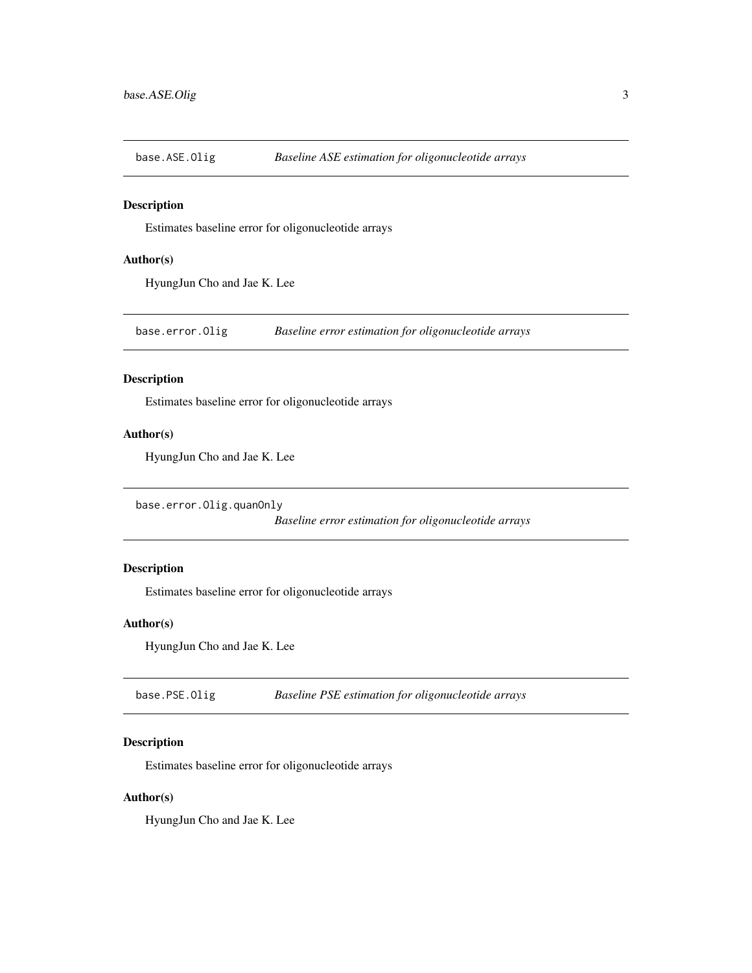<span id="page-2-0"></span>base.ASE.Olig *Baseline ASE estimation for oligonucleotide arrays*

#### Description

Estimates baseline error for oligonucleotide arrays

#### Author(s)

HyungJun Cho and Jae K. Lee

base.error.Olig *Baseline error estimation for oligonucleotide arrays*

#### Description

Estimates baseline error for oligonucleotide arrays

#### Author(s)

HyungJun Cho and Jae K. Lee

base.error.Olig.quanOnly

*Baseline error estimation for oligonucleotide arrays*

#### Description

Estimates baseline error for oligonucleotide arrays

#### Author(s)

HyungJun Cho and Jae K. Lee

base.PSE.Olig *Baseline PSE estimation for oligonucleotide arrays*

#### Description

Estimates baseline error for oligonucleotide arrays

#### Author(s)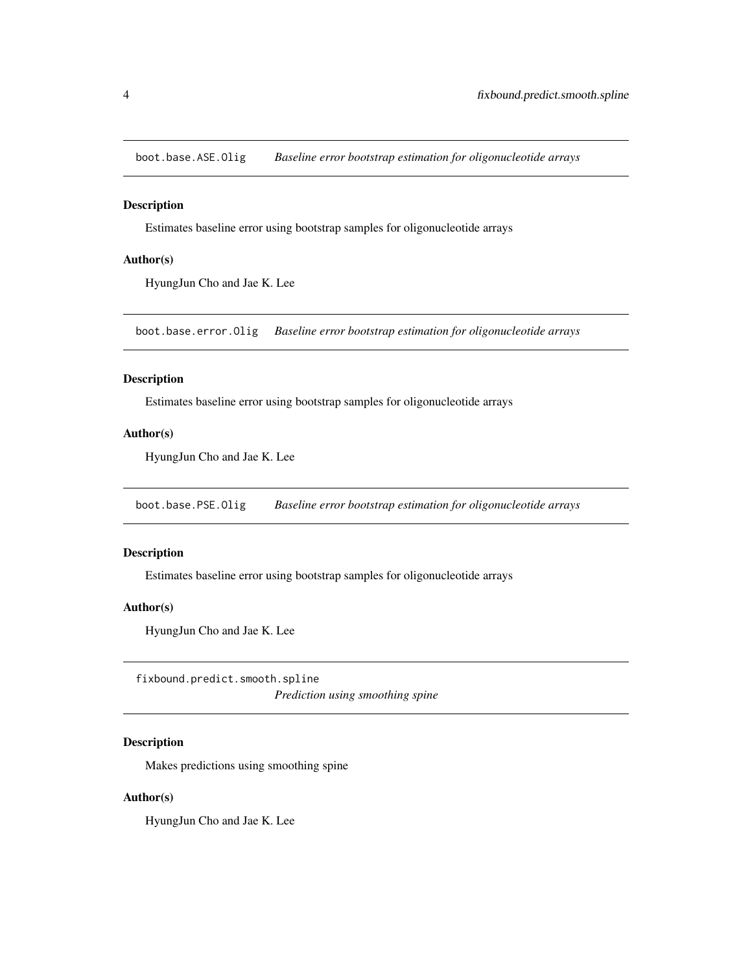<span id="page-3-0"></span>boot.base.ASE.Olig *Baseline error bootstrap estimation for oligonucleotide arrays*

#### Description

Estimates baseline error using bootstrap samples for oligonucleotide arrays

#### Author(s)

HyungJun Cho and Jae K. Lee

boot.base.error.Olig *Baseline error bootstrap estimation for oligonucleotide arrays*

#### Description

Estimates baseline error using bootstrap samples for oligonucleotide arrays

#### Author(s)

HyungJun Cho and Jae K. Lee

boot.base.PSE.Olig *Baseline error bootstrap estimation for oligonucleotide arrays*

#### Description

Estimates baseline error using bootstrap samples for oligonucleotide arrays

#### Author(s)

HyungJun Cho and Jae K. Lee

fixbound.predict.smooth.spline *Prediction using smoothing spine*

#### Description

Makes predictions using smoothing spine

#### Author(s)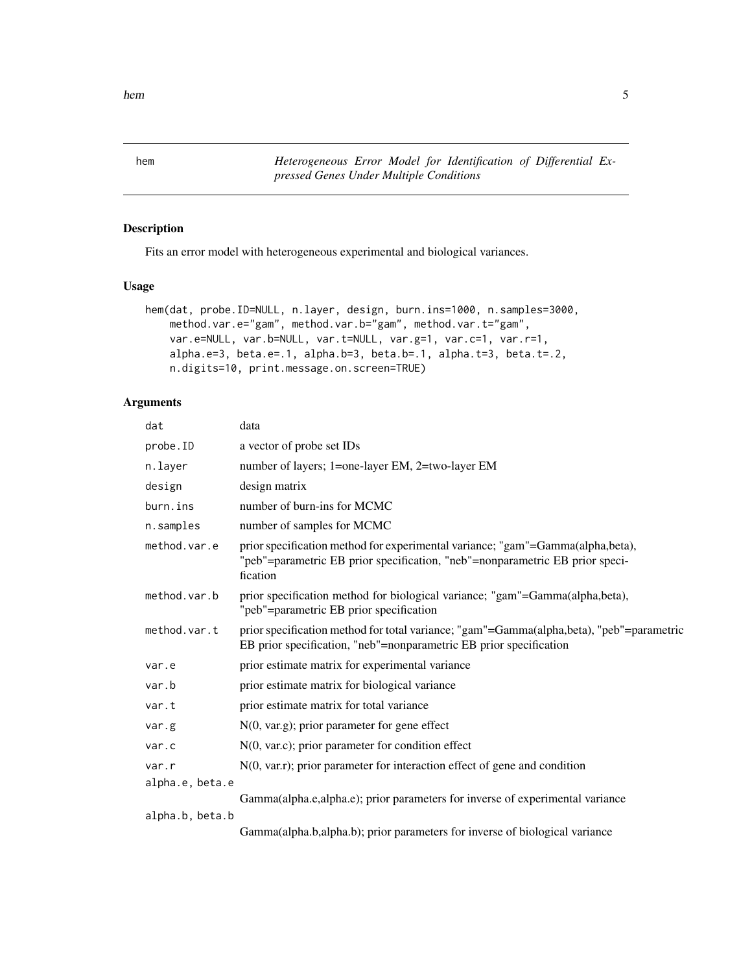<span id="page-4-0"></span>hem 55

<span id="page-4-1"></span>hem *Heterogeneous Error Model for Identification of Differential Expressed Genes Under Multiple Conditions*

#### Description

Fits an error model with heterogeneous experimental and biological variances.

#### Usage

```
hem(dat, probe.ID=NULL, n.layer, design, burn.ins=1000, n.samples=3000,
   method.var.e="gam", method.var.b="gam", method.var.t="gam",
   var.e=NULL, var.b=NULL, var.t=NULL, var.g=1, var.c=1, var.r=1,
    alpha.e=3, beta.e=.1, alpha.b=3, beta.b=.1, alpha.t=3, beta.t=.2,
    n.digits=10, print.message.on.screen=TRUE)
```
#### Arguments

| dat             | data                                                                                                                                                                       |
|-----------------|----------------------------------------------------------------------------------------------------------------------------------------------------------------------------|
| probe.ID        | a vector of probe set IDs                                                                                                                                                  |
| n.layer         | number of layers; 1=one-layer EM, 2=two-layer EM                                                                                                                           |
| design          | design matrix                                                                                                                                                              |
| burn.ins        | number of burn-ins for MCMC                                                                                                                                                |
| n.samples       | number of samples for MCMC                                                                                                                                                 |
| method.var.e    | prior specification method for experimental variance; "gam"=Gamma(alpha,beta),<br>"peb"=parametric EB prior specification, "neb"=nonparametric EB prior speci-<br>fication |
| method.var.b    | prior specification method for biological variance; "gam"=Gamma(alpha,beta),<br>"peb"=parametric EB prior specification                                                    |
| method.var.t    | prior specification method for total variance; "gam"=Gamma(alpha,beta), "peb"=parametric<br>EB prior specification, "neb"=nonparametric EB prior specification             |
| var.e           | prior estimate matrix for experimental variance                                                                                                                            |
| var.b           | prior estimate matrix for biological variance                                                                                                                              |
| var.t           | prior estimate matrix for total variance                                                                                                                                   |
| var.g           | $N(0, var.g)$ ; prior parameter for gene effect                                                                                                                            |
| var.c           | $N(0, \text{var.c})$ ; prior parameter for condition effect                                                                                                                |
| var.r           | $N(0, var.r)$ ; prior parameter for interaction effect of gene and condition                                                                                               |
| alpha.e, beta.e | Gamma(alpha.e,alpha.e); prior parameters for inverse of experimental variance                                                                                              |
| alpha.b, beta.b | Gamma(alpha.b,alpha.b); prior parameters for inverse of biological variance                                                                                                |
|                 |                                                                                                                                                                            |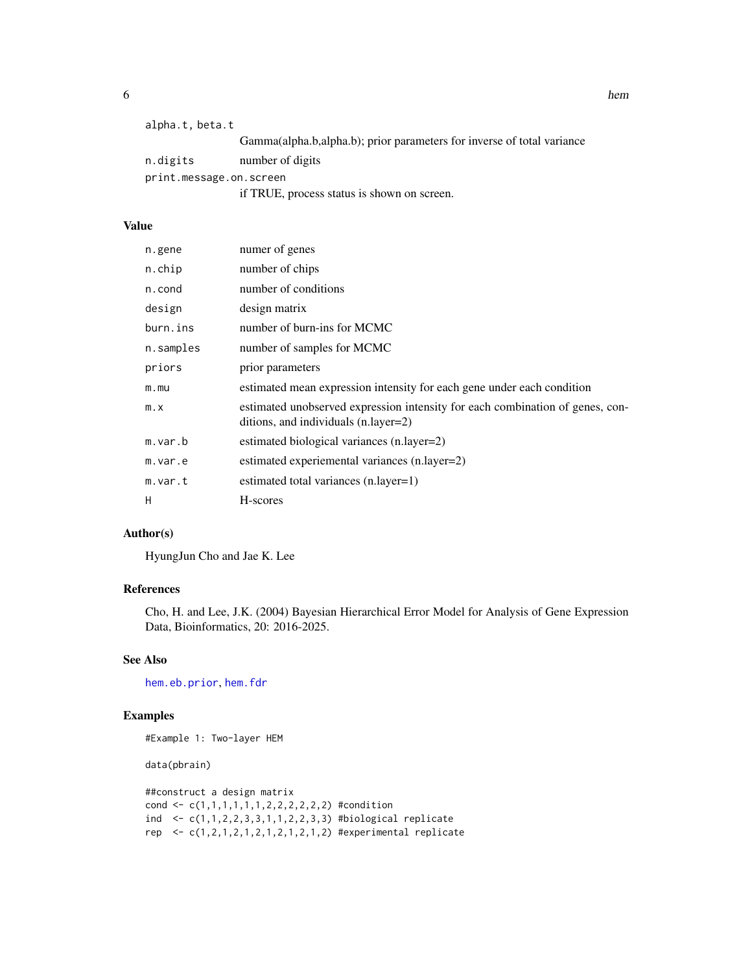<span id="page-5-0"></span>

| alpha.t, beta.t         |                                                                        |  |
|-------------------------|------------------------------------------------------------------------|--|
|                         | Gamma(alpha.b,alpha.b); prior parameters for inverse of total variance |  |
| n.digits                | number of digits                                                       |  |
| print.message.on.screen |                                                                        |  |
|                         | if TRUE, process status is shown on screen.                            |  |

#### Value

| n.gene      | numer of genes                                                                                                        |
|-------------|-----------------------------------------------------------------------------------------------------------------------|
| n.chip      | number of chips                                                                                                       |
| n.cond      | number of conditions                                                                                                  |
| design      | design matrix                                                                                                         |
| burn.ins    | number of burn-ins for MCMC                                                                                           |
| n.samples   | number of samples for MCMC                                                                                            |
| priors      | prior parameters                                                                                                      |
| m.mu        | estimated mean expression intensity for each gene under each condition                                                |
| $m \cdot x$ | estimated unobserved expression intensity for each combination of genes, con-<br>ditions, and individuals (n.layer=2) |
| m.var.b     | estimated biological variances (n.layer=2)                                                                            |
| m.var.e     | estimated experiemental variances (n.layer=2)                                                                         |
| m.var.t     | estimated total variances (n.layer=1)                                                                                 |
| H           | H-scores                                                                                                              |

#### Author(s)

HyungJun Cho and Jae K. Lee

#### References

Cho, H. and Lee, J.K. (2004) Bayesian Hierarchical Error Model for Analysis of Gene Expression Data, Bioinformatics, 20: 2016-2025.

#### See Also

[hem.eb.prior](#page-6-1), [hem.fdr](#page-9-1)

#### Examples

#Example 1: Two-layer HEM

data(pbrain)

```
##construct a design matrix
cond <- c(1,1,1,1,1,1,2,2,2,2,2,2) #condition
ind <- c(1,1,2,2,3,3,1,1,2,2,3,3) #biological replicate
rep <- c(1,2,1,2,1,2,1,2,1,2,1,2) #experimental replicate
```
**6** hem the state of the state of the state of the state of the state of the state of the state of the state of the state of the state of the state of the state of the state of the state of the state of the state of the st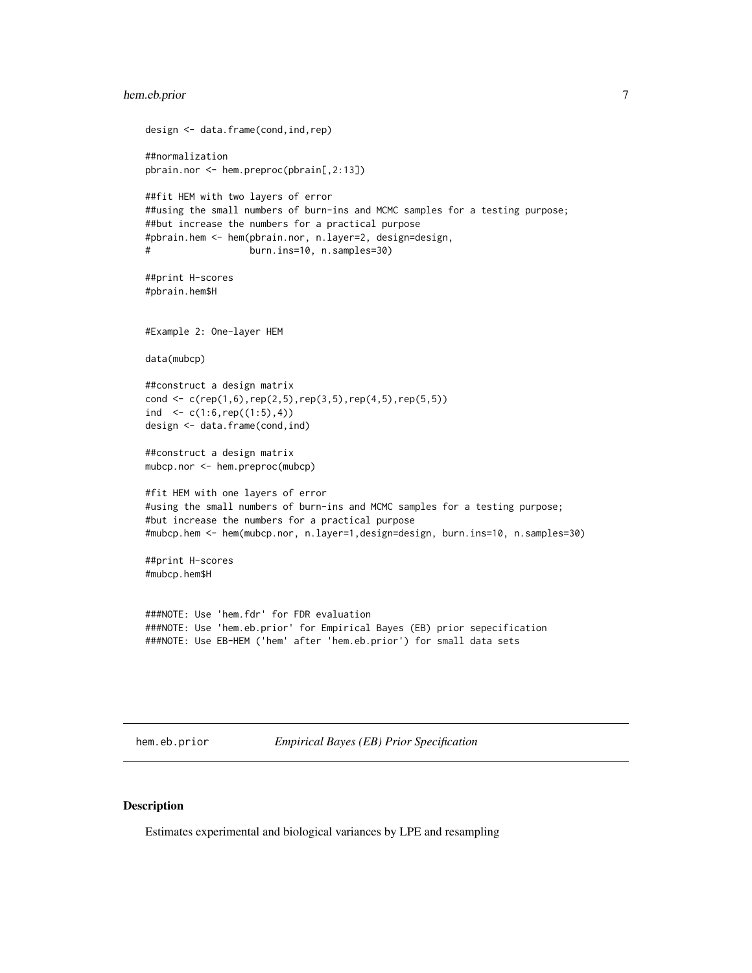#### <span id="page-6-0"></span>hem.eb.prior 7

```
design <- data.frame(cond,ind,rep)
##normalization
pbrain.nor <- hem.preproc(pbrain[,2:13])
##fit HEM with two layers of error
##using the small numbers of burn-ins and MCMC samples for a testing purpose;
##but increase the numbers for a practical purpose
#pbrain.hem <- hem(pbrain.nor, n.layer=2, design=design,
# burn.ins=10, n.samples=30)
##print H-scores
#pbrain.hem$H
#Example 2: One-layer HEM
data(mubcp)
##construct a design matrix
cond <- c(rep(1,6),rep(2,5),rep(3,5),rep(4,5),rep(5,5))
ind \leq c(1:6, rep((1:5), 4))design <- data.frame(cond,ind)
##construct a design matrix
mubcp.nor <- hem.preproc(mubcp)
#fit HEM with one layers of error
#using the small numbers of burn-ins and MCMC samples for a testing purpose;
#but increase the numbers for a practical purpose
#mubcp.hem <- hem(mubcp.nor, n.layer=1,design=design, burn.ins=10, n.samples=30)
##print H-scores
#mubcp.hem$H
###NOTE: Use 'hem.fdr' for FDR evaluation
###NOTE: Use 'hem.eb.prior' for Empirical Bayes (EB) prior sepecification
```
<span id="page-6-1"></span>

hem.eb.prior *Empirical Bayes (EB) Prior Specification*

#### Description

Estimates experimental and biological variances by LPE and resampling

###NOTE: Use EB-HEM ('hem' after 'hem.eb.prior') for small data sets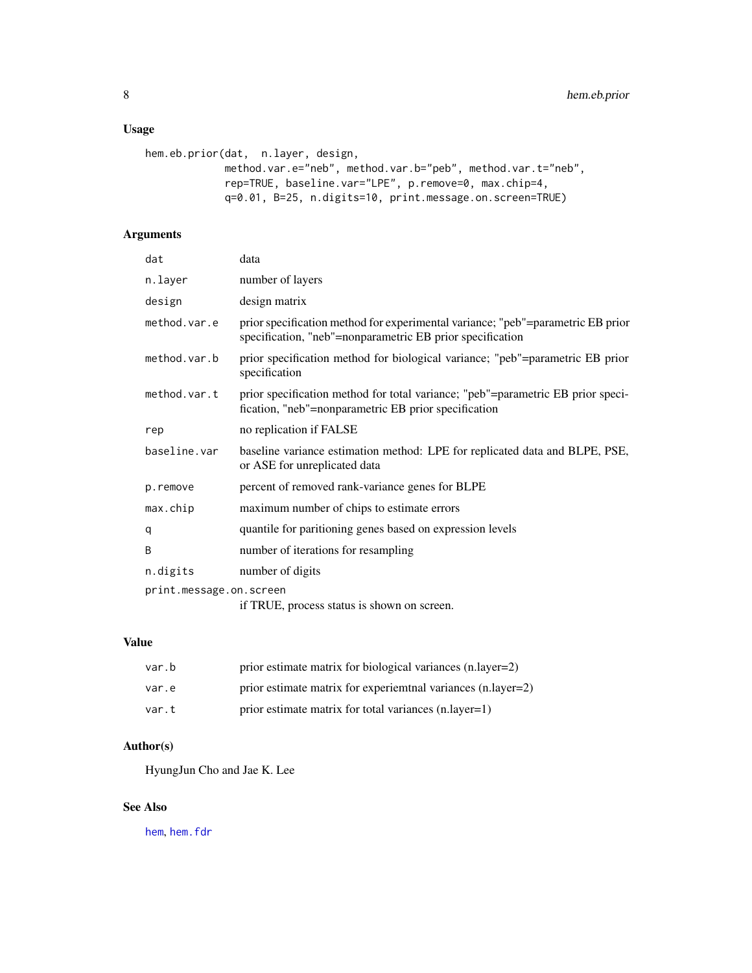#### <span id="page-7-0"></span>Usage

```
hem.eb.prior(dat, n.layer, design,
            method.var.e="neb", method.var.b="peb", method.var.t="neb",
             rep=TRUE, baseline.var="LPE", p.remove=0, max.chip=4,
            q=0.01, B=25, n.digits=10, print.message.on.screen=TRUE)
```
#### Arguments

| dat                                                                    | data                                                                                                                                         |
|------------------------------------------------------------------------|----------------------------------------------------------------------------------------------------------------------------------------------|
| n.layer                                                                | number of layers                                                                                                                             |
| design                                                                 | design matrix                                                                                                                                |
| method.var.e                                                           | prior specification method for experimental variance; "peb"=parametric EB prior<br>specification, "neb"=nonparametric EB prior specification |
| method.var.b                                                           | prior specification method for biological variance; "peb"=parametric EB prior<br>specification                                               |
| method.var.t                                                           | prior specification method for total variance; "peb"=parametric EB prior speci-<br>fication, "neb"=nonparametric EB prior specification      |
| rep                                                                    | no replication if FALSE                                                                                                                      |
| baseline.var                                                           | baseline variance estimation method: LPE for replicated data and BLPE, PSE,<br>or ASE for unreplicated data                                  |
| p.remove                                                               | percent of removed rank-variance genes for BLPE                                                                                              |
| max.chip                                                               | maximum number of chips to estimate errors                                                                                                   |
| q                                                                      | quantile for paritioning genes based on expression levels                                                                                    |
| B                                                                      | number of iterations for resampling                                                                                                          |
| n.digits                                                               | number of digits                                                                                                                             |
| print.message.on.screen<br>if TRUE, process status is shown on screen. |                                                                                                                                              |

#### Value

| var.b | prior estimate matrix for biological variances (n.layer=2)    |
|-------|---------------------------------------------------------------|
| var.e | prior estimate matrix for experiemental variances (n.layer=2) |
| var.t | prior estimate matrix for total variances (n.layer=1)         |

#### Author(s)

HyungJun Cho and Jae K. Lee

#### See Also

[hem](#page-4-1), [hem.fdr](#page-9-1)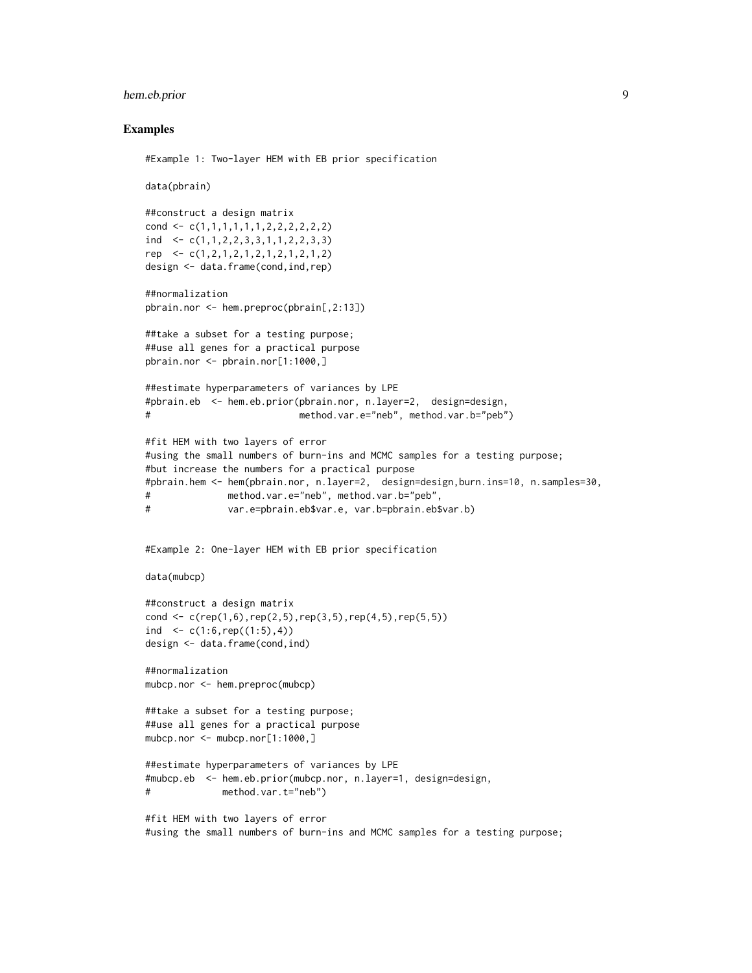#### hem.eb.prior 9

#### Examples

```
#Example 1: Two-layer HEM with EB prior specification
data(pbrain)
##construct a design matrix
cond <- c(1,1,1,1,1,1,2,2,2,2,2,2)
ind <- c(1,1,2,2,3,3,1,1,2,2,3,3)
rep <- c(1,2,1,2,1,2,1,2,1,2,1,2)
design <- data.frame(cond,ind,rep)
##normalization
pbrain.nor <- hem.preproc(pbrain[,2:13])
##take a subset for a testing purpose;
##use all genes for a practical purpose
pbrain.nor <- pbrain.nor[1:1000,]
##estimate hyperparameters of variances by LPE
#pbrain.eb <- hem.eb.prior(pbrain.nor, n.layer=2, design=design,
# method.var.e="neb", method.var.b="peb")
#fit HEM with two layers of error
#using the small numbers of burn-ins and MCMC samples for a testing purpose;
#but increase the numbers for a practical purpose
#pbrain.hem <- hem(pbrain.nor, n.layer=2, design=design,burn.ins=10, n.samples=30,
# method.var.e="neb", method.var.b="peb",
# var.e=pbrain.eb$var.e, var.b=pbrain.eb$var.b)
#Example 2: One-layer HEM with EB prior specification
data(mubcp)
##construct a design matrix
cond \leq c(rep(1,6),rep(2,5),rep(3,5),rep(4,5),rep(5,5))
ind \leq c(1:6, rep((1:5), 4))
design <- data.frame(cond,ind)
##normalization
mubcp.nor <- hem.preproc(mubcp)
##take a subset for a testing purpose;
##use all genes for a practical purpose
mubcp.nor <- mubcp.nor[1:1000,]
##estimate hyperparameters of variances by LPE
#mubcp.eb <- hem.eb.prior(mubcp.nor, n.layer=1, design=design,
# method.var.t="neb")
#fit HEM with two layers of error
#using the small numbers of burn-ins and MCMC samples for a testing purpose;
```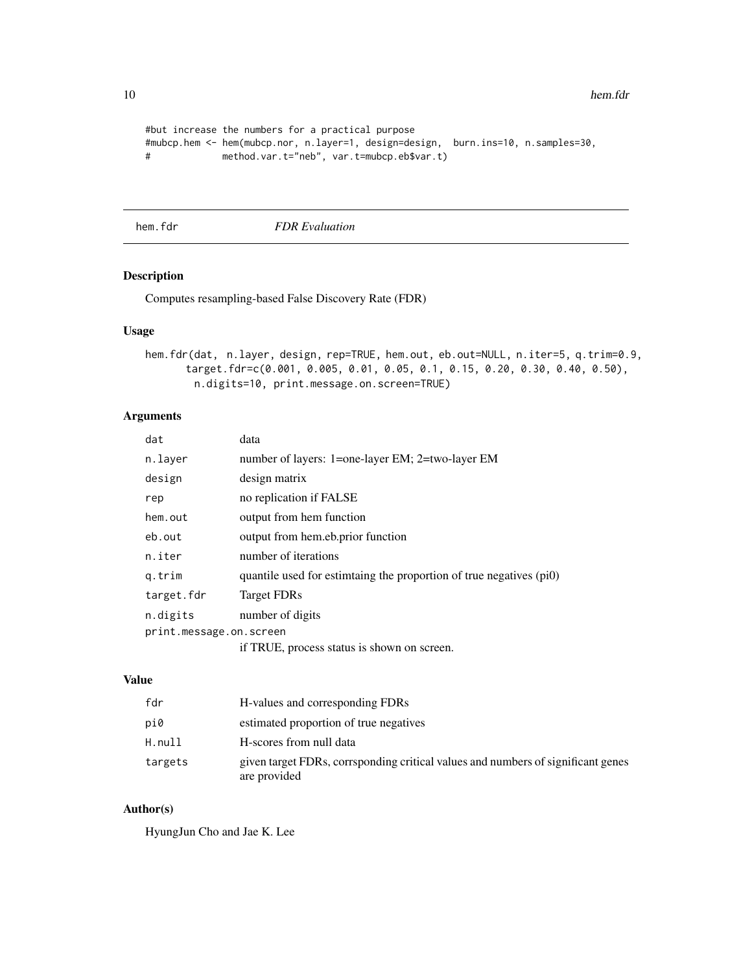```
#but increase the numbers for a practical purpose
#mubcp.hem <- hem(mubcp.nor, n.layer=1, design=design, burn.ins=10, n.samples=30,
# method.var.t="neb", var.t=mubcp.eb$var.t)
```
<span id="page-9-1"></span>hem.fdr *FDR Evaluation*

#### Description

Computes resampling-based False Discovery Rate (FDR)

#### Usage

```
hem.fdr(dat, n.layer, design, rep=TRUE, hem.out, eb.out=NULL, n.iter=5, q.trim=0.9,
      target.fdr=c(0.001, 0.005, 0.01, 0.05, 0.1, 0.15, 0.20, 0.30, 0.40, 0.50),
        n.digits=10, print.message.on.screen=TRUE)
```
#### Arguments

| dat                     | data                                                                |
|-------------------------|---------------------------------------------------------------------|
| n.layer                 | number of layers: 1=one-layer EM; 2=two-layer EM                    |
| design                  | design matrix                                                       |
| rep                     | no replication if FALSE                                             |
| hem.out                 | output from hem function                                            |
| eb.out                  | output from hem.eb.prior function                                   |
| n.iter                  | number of iterations                                                |
| q.trim                  | quantile used for estiminary the proportion of true negatives (pi0) |
| target.fdr              | <b>Target FDRs</b>                                                  |
| n.digits                | number of digits                                                    |
| print.message.on.screen |                                                                     |
|                         | if TRUE, process status is shown on screen.                         |

#### Value

| fdr     | H-values and corresponding FDRs                                                                  |
|---------|--------------------------------------------------------------------------------------------------|
| pi0     | estimated proportion of true negatives                                                           |
| H.null  | H-scores from null data                                                                          |
| targets | given target FDRs, corrsponding critical values and numbers of significant genes<br>are provided |

#### Author(s)

<span id="page-9-0"></span>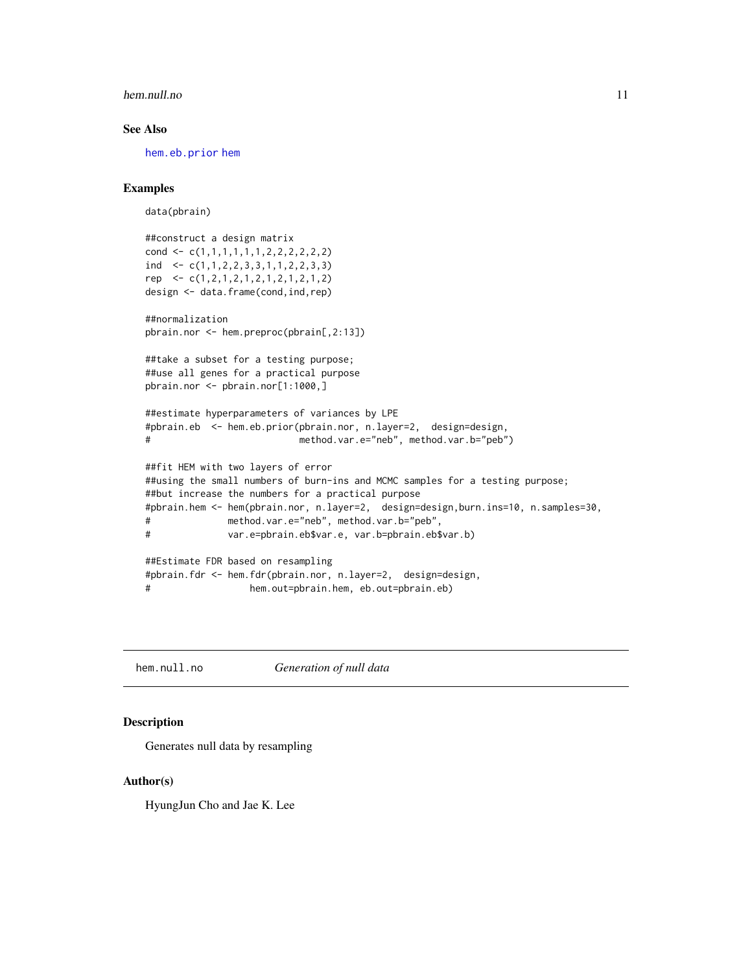#### <span id="page-10-0"></span>hem.null.no 11

#### See Also

[hem.eb.prior](#page-6-1) [hem](#page-4-1)

#### Examples

data(pbrain)

```
##construct a design matrix
cond \leq c(1,1,1,1,1,1,1,2,2,2,2,2,2)ind \leq c(1,1,2,2,3,3,1,1,2,2,3,3)rep <- c(1,2,1,2,1,2,1,2,1,2,1,2)
design <- data.frame(cond,ind,rep)
```

```
##normalization
pbrain.nor <- hem.preproc(pbrain[,2:13])
```

```
##take a subset for a testing purpose;
##use all genes for a practical purpose
pbrain.nor <- pbrain.nor[1:1000,]
```

```
##estimate hyperparameters of variances by LPE
#pbrain.eb <- hem.eb.prior(pbrain.nor, n.layer=2, design=design,
# method.var.e="neb", method.var.b="peb")
```

```
##fit HEM with two layers of error
##using the small numbers of burn-ins and MCMC samples for a testing purpose;
##but increase the numbers for a practical purpose
#pbrain.hem <- hem(pbrain.nor, n.layer=2, design=design,burn.ins=10, n.samples=30,
# method.var.e="neb", method.var.b="peb",
# var.e=pbrain.eb$var.e, var.b=pbrain.eb$var.b)
##Estimate FDR based on resampling
#pbrain.fdr <- hem.fdr(pbrain.nor, n.layer=2, design=design,
```

```
# hem.out=pbrain.hem, eb.out=pbrain.eb)
```
hem.null.no *Generation of null data*

#### Description

Generates null data by resampling

#### Author(s)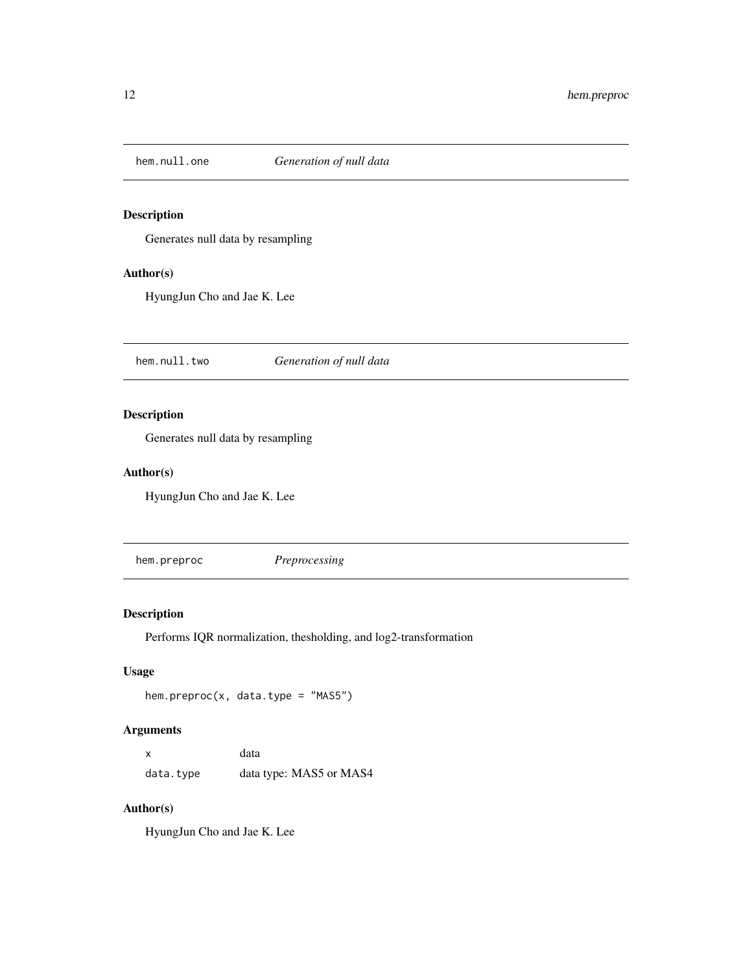<span id="page-11-0"></span>

#### Description

Generates null data by resampling

#### Author(s)

HyungJun Cho and Jae K. Lee

hem.null.two *Generation of null data*

#### Description

Generates null data by resampling

#### Author(s)

HyungJun Cho and Jae K. Lee

hem.preproc *Preprocessing*

#### Description

Performs IQR normalization, thesholding, and log2-transformation

#### Usage

hem.preproc(x, data.type = "MAS5")

#### Arguments

| x         | data                    |
|-----------|-------------------------|
| data.type | data type: MAS5 or MAS4 |

#### Author(s)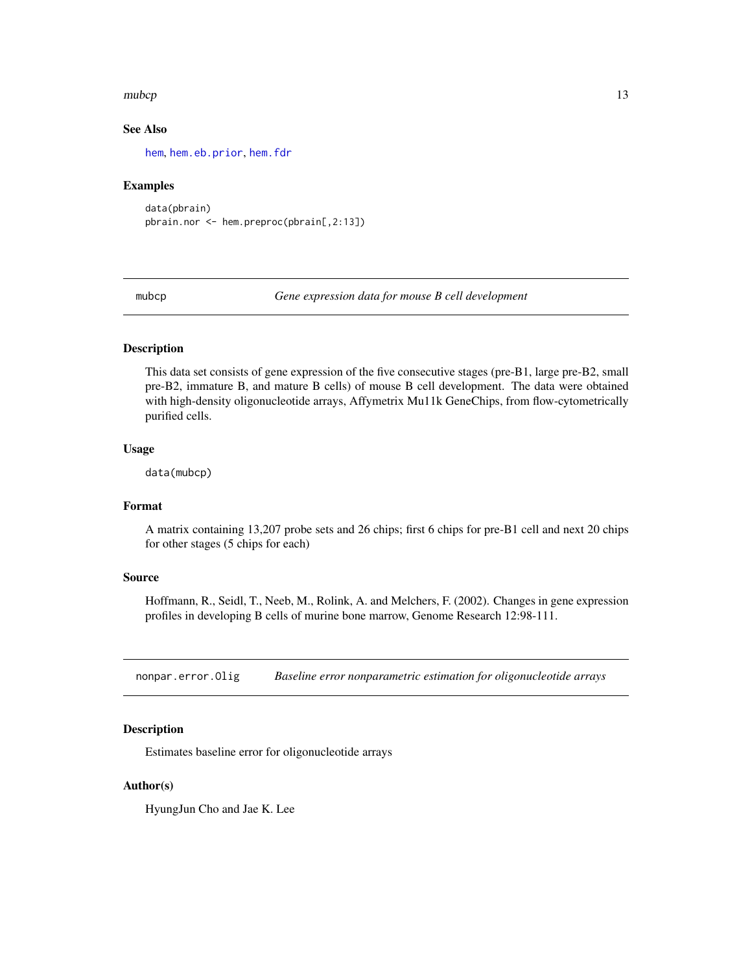#### <span id="page-12-0"></span>mubcp and the contract of the contract of the contract of the contract of the contract of the contract of the contract of the contract of the contract of the contract of the contract of the contract of the contract of the

#### See Also

[hem](#page-4-1), [hem.eb.prior](#page-6-1), [hem.fdr](#page-9-1)

#### Examples

```
data(pbrain)
pbrain.nor <- hem.preproc(pbrain[,2:13])
```
mubcp *Gene expression data for mouse B cell development*

#### Description

This data set consists of gene expression of the five consecutive stages (pre-B1, large pre-B2, small pre-B2, immature B, and mature B cells) of mouse B cell development. The data were obtained with high-density oligonucleotide arrays, Affymetrix Mu11k GeneChips, from flow-cytometrically purified cells.

#### Usage

data(mubcp)

#### Format

A matrix containing 13,207 probe sets and 26 chips; first 6 chips for pre-B1 cell and next 20 chips for other stages (5 chips for each)

#### Source

Hoffmann, R., Seidl, T., Neeb, M., Rolink, A. and Melchers, F. (2002). Changes in gene expression profiles in developing B cells of murine bone marrow, Genome Research 12:98-111.

nonpar.error.Olig *Baseline error nonparametric estimation for oligonucleotide arrays*

#### **Description**

Estimates baseline error for oligonucleotide arrays

#### Author(s)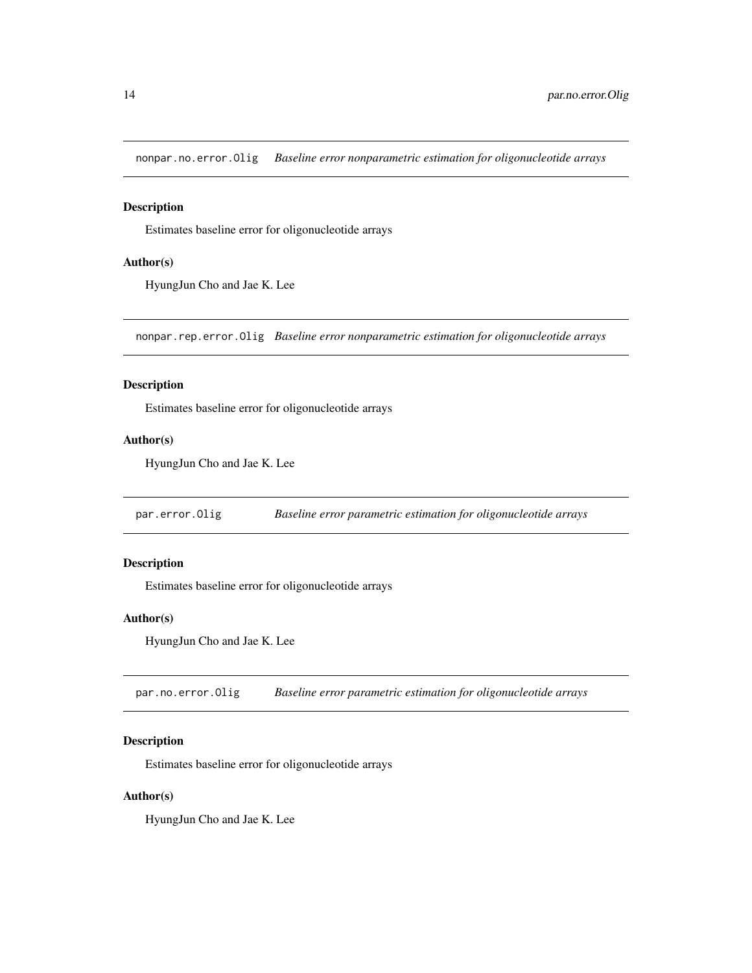<span id="page-13-0"></span>nonpar.no.error.Olig *Baseline error nonparametric estimation for oligonucleotide arrays*

#### Description

Estimates baseline error for oligonucleotide arrays

#### Author(s)

HyungJun Cho and Jae K. Lee

nonpar.rep.error.Olig *Baseline error nonparametric estimation for oligonucleotide arrays*

#### Description

Estimates baseline error for oligonucleotide arrays

#### Author(s)

HyungJun Cho and Jae K. Lee

par.error.Olig *Baseline error parametric estimation for oligonucleotide arrays*

#### Description

Estimates baseline error for oligonucleotide arrays

#### Author(s)

HyungJun Cho and Jae K. Lee

par.no.error.Olig *Baseline error parametric estimation for oligonucleotide arrays*

#### Description

Estimates baseline error for oligonucleotide arrays

#### Author(s)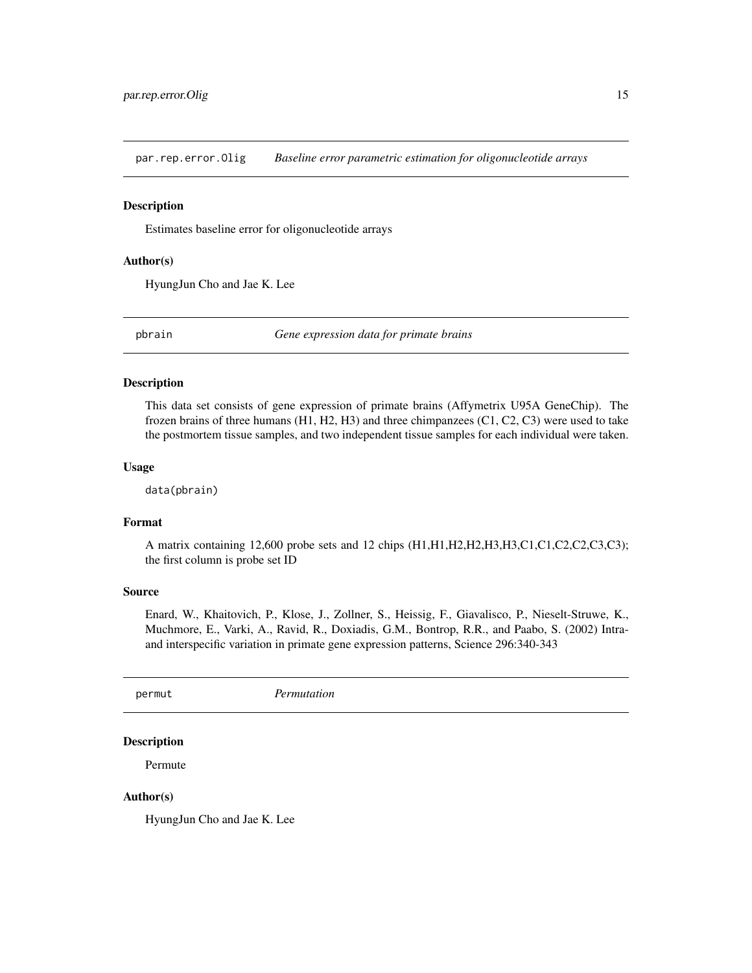<span id="page-14-0"></span>par.rep.error.Olig *Baseline error parametric estimation for oligonucleotide arrays*

#### Description

Estimates baseline error for oligonucleotide arrays

#### Author(s)

HyungJun Cho and Jae K. Lee

pbrain *Gene expression data for primate brains*

#### Description

This data set consists of gene expression of primate brains (Affymetrix U95A GeneChip). The frozen brains of three humans (H1, H2, H3) and three chimpanzees (C1, C2, C3) were used to take the postmortem tissue samples, and two independent tissue samples for each individual were taken.

#### Usage

data(pbrain)

#### Format

A matrix containing 12,600 probe sets and 12 chips (H1,H1,H2,H2,H3,H3,C1,C1,C2,C2,C3,C3); the first column is probe set ID

#### Source

Enard, W., Khaitovich, P., Klose, J., Zollner, S., Heissig, F., Giavalisco, P., Nieselt-Struwe, K., Muchmore, E., Varki, A., Ravid, R., Doxiadis, G.M., Bontrop, R.R., and Paabo, S. (2002) Intraand interspecific variation in primate gene expression patterns, Science 296:340-343

permut *Permutation*

#### Description

Permute

#### Author(s)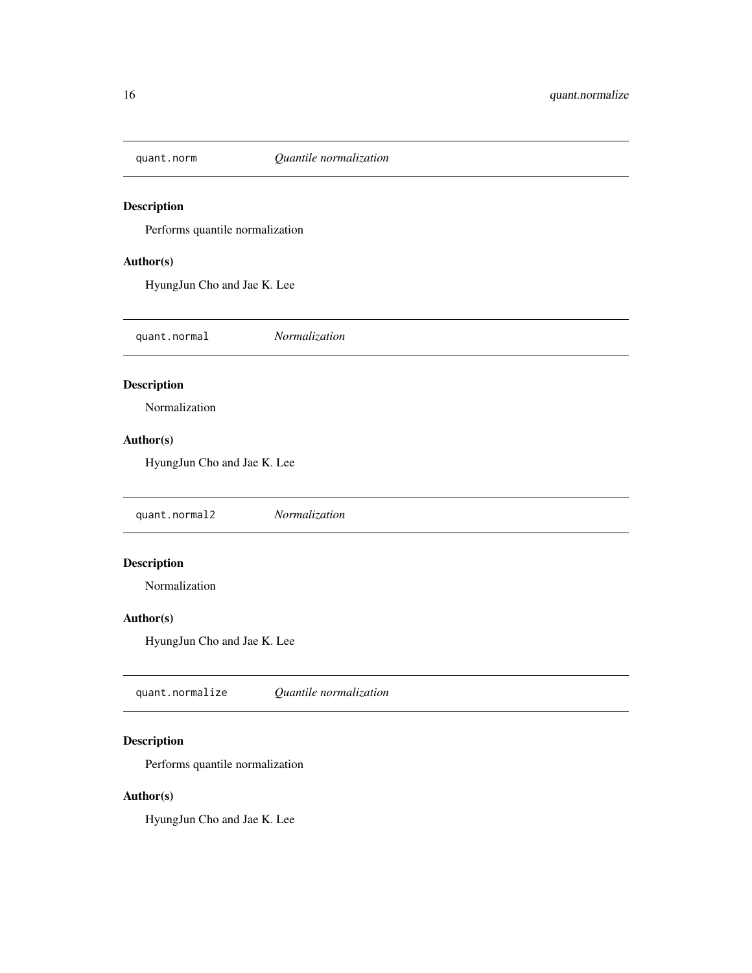<span id="page-15-0"></span>

### Description

Performs quantile normalization

#### Author(s)

HyungJun Cho and Jae K. Lee

quant.normal *Normalization*

#### Description

Normalization

#### Author(s)

HyungJun Cho and Jae K. Lee

quant.normal2 *Normalization*

#### Description

Normalization

#### Author(s)

HyungJun Cho and Jae K. Lee

quant.normalize *Quantile normalization*

#### Description

Performs quantile normalization

#### Author(s)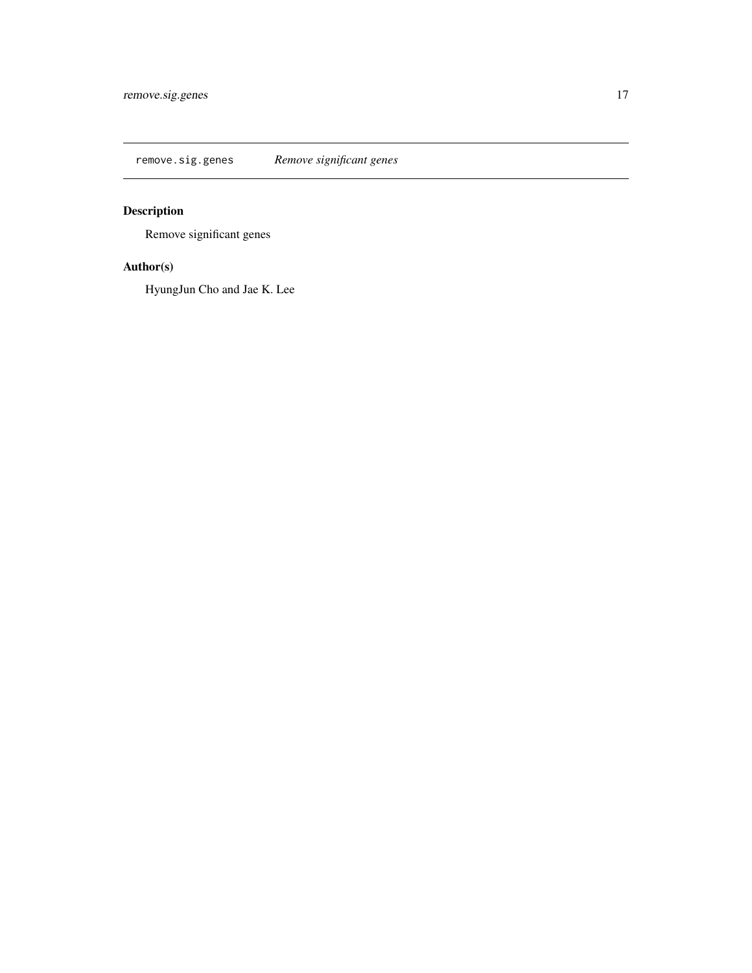<span id="page-16-0"></span>remove.sig.genes *Remove significant genes*

## Description

Remove significant genes

#### Author(s)